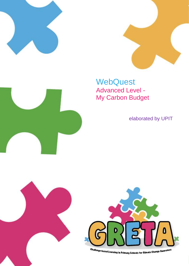





# **WebQuest** Advanced Level - My Carbon Budget

elaborated by UPIT

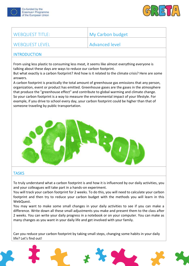



| <b>WEBQUEST TITLE:</b>                                                                                                                                                                                                                                                                                                                                                                                                                                                                                                                                                                                                                                                                                                                                                                                                             | <b>My Carbon budget</b> |
|------------------------------------------------------------------------------------------------------------------------------------------------------------------------------------------------------------------------------------------------------------------------------------------------------------------------------------------------------------------------------------------------------------------------------------------------------------------------------------------------------------------------------------------------------------------------------------------------------------------------------------------------------------------------------------------------------------------------------------------------------------------------------------------------------------------------------------|-------------------------|
| <b>WEBQUEST LEVEL</b>                                                                                                                                                                                                                                                                                                                                                                                                                                                                                                                                                                                                                                                                                                                                                                                                              | <b>Advanced level</b>   |
| <b>INTRODUCTION</b>                                                                                                                                                                                                                                                                                                                                                                                                                                                                                                                                                                                                                                                                                                                                                                                                                |                         |
| From using less plastic to consuming less meat, it seems like almost everything everyone is<br>talking about these days are ways to reduce our carbon footprint.<br>But what exactly is a carbon footprint? And how is it related to the climate crisis? Here are some<br>answers.<br>A carbon footprint is practically the total amount of greenhouse gas emissions that any person,<br>organization, event or product has emitted. Greenhouse gases are the gases in the atmosphere<br>that produce the "greenhouse effect" and contribute to global warming and climate change.<br>So your carbon footprint is a way to measure the environmental impact of your lifestyle. For<br>example, if you drive to school every day, your carbon footprint could be higher than that of<br>someone traveling by public transportation. |                         |
|                                                                                                                                                                                                                                                                                                                                                                                                                                                                                                                                                                                                                                                                                                                                                                                                                                    |                         |
| <b>TASKS</b>                                                                                                                                                                                                                                                                                                                                                                                                                                                                                                                                                                                                                                                                                                                                                                                                                       |                         |
| To truly understand what a carbon footprint is and how it is influenced by our daily activities, you<br>and your colleagues will take part in a hands-on experiment.<br>You will track your carbon footprint for 2 weeks. To do this, you will need to calculate your carbon<br>footprint and then try to reduce your carbon budget with the methods you will learn in this<br>WebQuest.<br>You may want to make some small changes in your daily activities to see if you can make a<br>difference. Write down all these small adjustments you make and present them to the class after<br>2 weeks. You can write your daily progress in a notebook or on your computer. You can make as<br>many changes as you want in your daily life and get involved with your family.                                                        |                         |

Can you reduce your carbon footprint by taking small steps, changing some habits in your daily life? Let's find out!

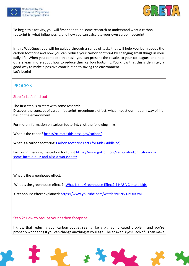



To begin this activity, you will first need to do some research to understand what a carbon footprint is, what influences it, and how you can calculate your own carbon footprint.

In this WebQuest you will be guided through a series of tasks that will help you learn about the carbon footprint and how you can reduce your carbon footprint by changing small things in your daily life. When you complete this task, you can present the results to your colleagues and help others learn more about how to reduce their carbon footprint. You know that this is definitely a good way to make a positive contribution to saving the environment. Let's begin!

# **PROCESS**

#### Step 1: Let's find out

The first step is to start with some research. Discover the concept of carbon footprint, greenhouse effect, what impact our modern way of life has on the environment.

For more information on carbon footprint, click the following links:

What is the cabon[? https://climatekids.nasa.gov/carbon/](https://climatekids.nasa.gov/carbon/)

What is a carbon footprint: [Carbon footprint Facts for Kids \(kiddle.co\)](https://kids.kiddle.co/Carbon_footprint)

Factors influencing the carbon footprint[:https://www.gokid.mobi/carbon-footprint-for-kids](https://www.gokid.mobi/carbon-footprint-for-kids-some-facts-a-quiz-and-also-a-worksheet/)[some-facts-a-quiz-and-also-a-worksheet/](https://www.gokid.mobi/carbon-footprint-for-kids-some-facts-a-quiz-and-also-a-worksheet/)

What is the greenhouse effect:

What is the greenhouse effect ?: [What Is the Greenhouse Effect? | NASA Climate Kids](https://climatekids.nasa.gov/greenhouse-effect/)

Greenhouse effect explained:<https://www.youtube.com/watch?v=SN5-DnOHQmE>

#### Step 2: How to reduce your carbon footprint

I know that reducing your carbon budget seems like a big, complicated problem, and you're probably wondering if you can change anything at your age. The answer is yes! Each of us can make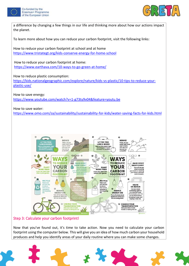



a difference by changing a few things in our life and thinking more about how our actions impact the planet.

To learn more about how you can reduce your carbon footprint, visit the following links:

How to reduce your carbon footprint at school and at home <https://www.tristategt.org/kids-conserve-energy-for-home-school>

How to reduce your carbon footprint at home: <https://www.earthava.com/10-ways-to-go-green-at-home/>

How to reduce plastic consumption:

[https://kids.nationalgeographic.com/explore/nature/kids-vs-plastic/10-tips-to-reduce-your](https://kids.nationalgeographic.com/explore/nature/kids-vs-plastic/10-tips-to-reduce-your-plastic-use/)[plastic-use/](https://kids.nationalgeographic.com/explore/nature/kids-vs-plastic/10-tips-to-reduce-your-plastic-use/)

How to save energy: <https://www.youtube.com/watch?v=1-g73ty9v04&feature=youtu.be>

How to save water: <https://www.omo.com/za/sustainability/sustainability-for-kids/water-saving-facts-for-kids.html>



#### Step 3: Calculate your carbon footprint!

Now that you've found out, it's time to take action. Now you need to calculate your carbon footprint using the computer below. This will give you an idea of how much carbon your household produces and help you identify areas of your daily routine where you can make some changes.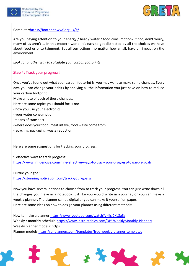



Computer[:https://footprint.wwf.org.uk/#/](https://footprint.wwf.org.uk/#/)

Are you paying attention to your energy / heat / water / food consumption? If not, don't worry, many of us aren't ... In this modern world, it's easy to get distracted by all the choices we have about food or entertainment. But all our actions, no matter how small, have an impact on the environment.

*Look for another way to calculate your carbon footprint!*

#### Step 4: Track your progress!

Once you've found out what your carbon footprint is, you may want to make some changes. Every day, you can change your habits by applying all the information you just have on how to reduce your carbon footprint.

Make a note of each of these changes.

Here are some topics you should focus on:

- how you use your electronics
- your water consumption
- -means of transport
- -where does your food, meat intake, food waste come from
- -recycling, packaging, waste reduction

Here are some suggestions for tracking your progress:

9 effective ways to track progress:

<https://www.influencive.com/nine-effective-ways-to-track-your-progress-toward-a-goal/>

Pursue your goal:

<https://stunningmotivation.com/track-your-goals/>

Now you have several options to choose from to track your progress. You can just write down all the changes you make in a notebook just like you would write in a journal, or you can make a weekly planner. The planner can be digital or you can make it yourself on paper. Here are some ideas on how to design your planner using different methods:

How to make a planner[:https://www.youtube.com/watch?v=lirJ2XLSq3s](https://www.youtube.com/watch?v=lirJ2XLSq3s) Weekly / monthly schedule[:https://www.instructables.com/DIY-WeeklyMonthly-Planner/](https://www.instructables.com/DIY-WeeklyMonthly-Planner/) Weekly planner models: https Planner models[:https://onplanners.com/templates/free-weekly-planner-templates](https://onplanners.com/templates/free-weekly-planner-templates)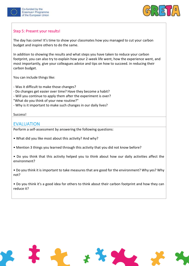



#### Step 5: Present your results!

The day has come! It's time to show your classmates how you managed to cut your carbon budget and inspire others to do the same.

In addition to showing the results and what steps you have taken to reduce your carbon footprint, you can also try to explain how your 2-week life went, how the experience went, and most importantly, give your colleagues advice and tips on how to succeed. in reducing their carbon budget.

You can include things like:

- Was it difficult to make those changes?

- Do changes get easier over time? Have they become a habit?
- Will you continue to apply them after the experiment is over?
- "What do you think of your new routine?"
- Why is it important to make such changes in our daily lives?

#### Success!

### EVALUATION

Perform a self-assessment by answering the following questions:

- What did you like most about this activity? And why?
- Mention 3 things you learned through this activity that you did not know before?
- Do you think that this activity helped you to think about how our daily activities affect the environment?
- Do you think it is important to take measures that are good for the environment? Why yes? Why not?
- Do you think it's a good idea for others to think about their carbon footprint and how they can reduce it?

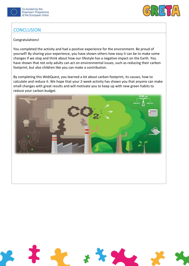



# **CONCLUSION**

#### Congratulations!

You completed the activity and had a positive experience for the environment. Be proud of yourself! By sharing your experience, you have shown others how easy it can be to make some changes if we stop and think about how our lifestyle has a negative impact on the Earth. You have shown that not only adults can act on environmental issues, such as reducing their carbon footprint, but also children like you can make a contribution.

By completing this WebQuest, you learned a lot about carbon footprint, its causes, how to calculate and reduce it. We hope that your 2-week activity has shown you that anyone can make small changes with great results and will motivate you to keep up with new green habits to reduce your carbon budget.